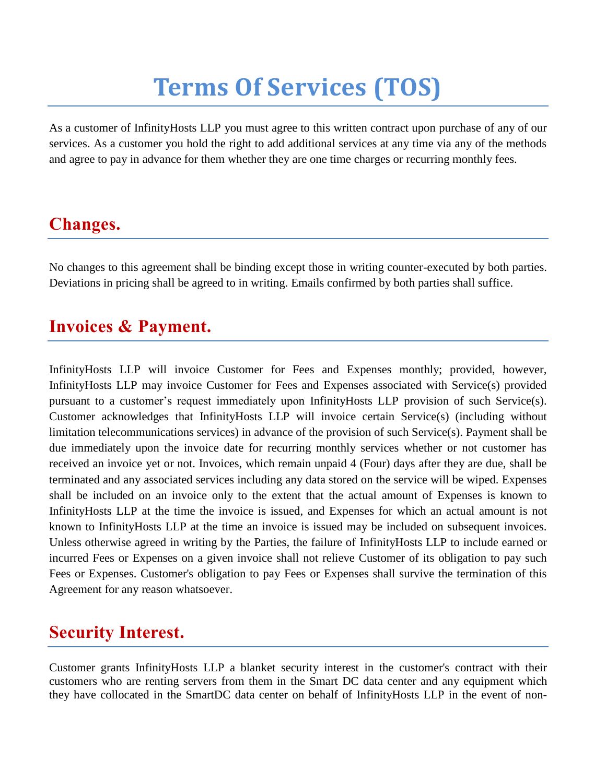# **Terms Of Services (TOS)**

As a customer of InfinityHosts LLP you must agree to this written contract upon purchase of any of our services. As a customer you hold the right to add additional services at any time via any of the methods and agree to pay in advance for them whether they are one time charges or recurring monthly fees.

# **Changes.**

No changes to this agreement shall be binding except those in writing counter-executed by both parties. Deviations in pricing shall be agreed to in writing. Emails confirmed by both parties shall suffice.

#### **Invoices & Payment.**

InfinityHosts LLP will invoice Customer for Fees and Expenses monthly; provided, however, InfinityHosts LLP may invoice Customer for Fees and Expenses associated with Service(s) provided pursuant to a customer's request immediately upon InfinityHosts LLP provision of such Service(s). Customer acknowledges that InfinityHosts LLP will invoice certain Service(s) (including without limitation telecommunications services) in advance of the provision of such Service(s). Payment shall be due immediately upon the invoice date for recurring monthly services whether or not customer has received an invoice yet or not. Invoices, which remain unpaid 4 (Four) days after they are due, shall be terminated and any associated services including any data stored on the service will be wiped. Expenses shall be included on an invoice only to the extent that the actual amount of Expenses is known to InfinityHosts LLP at the time the invoice is issued, and Expenses for which an actual amount is not known to InfinityHosts LLP at the time an invoice is issued may be included on subsequent invoices. Unless otherwise agreed in writing by the Parties, the failure of InfinityHosts LLP to include earned or incurred Fees or Expenses on a given invoice shall not relieve Customer of its obligation to pay such Fees or Expenses. Customer's obligation to pay Fees or Expenses shall survive the termination of this Agreement for any reason whatsoever.

#### **Security Interest.**

Customer grants InfinityHosts LLP a blanket security interest in the customer's contract with their customers who are renting servers from them in the Smart DC data center and any equipment which they have collocated in the SmartDC data center on behalf of InfinityHosts LLP in the event of non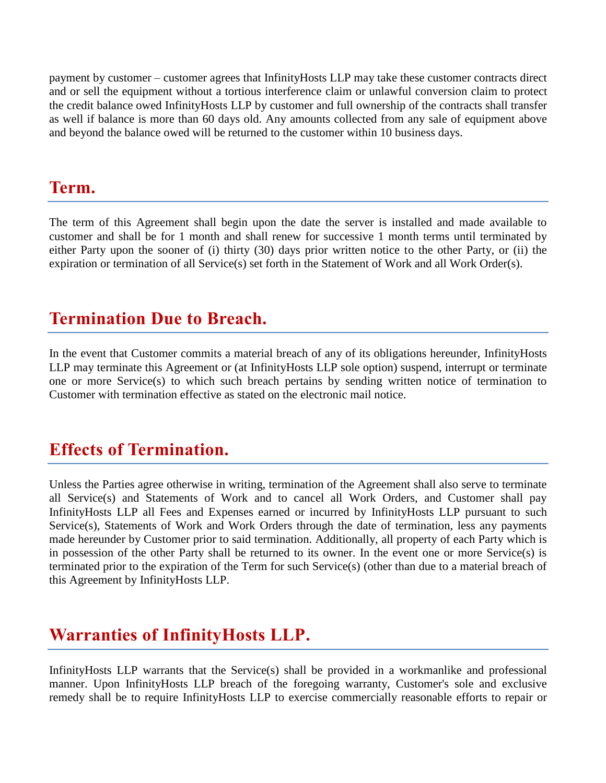payment by customer – customer agrees that InfinityHosts LLP may take these customer contracts direct and or sell the equipment without a tortious interference claim or unlawful conversion claim to protect the credit balance owed InfinityHosts LLP by customer and full ownership of the contracts shall transfer as well if balance is more than 60 days old. Any amounts collected from any sale of equipment above and beyond the balance owed will be returned to the customer within 10 business days.

#### **Term.**

The term of this Agreement shall begin upon the date the server is installed and made available to customer and shall be for 1 month and shall renew for successive 1 month terms until terminated by either Party upon the sooner of (i) thirty (30) days prior written notice to the other Party, or (ii) the expiration or termination of all Service(s) set forth in the Statement of Work and all Work Order(s).

#### **Termination Due to Breach.**

In the event that Customer commits a material breach of any of its obligations hereunder, InfinityHosts LLP may terminate this Agreement or (at InfinityHosts LLP sole option) suspend, interrupt or terminate one or more Service(s) to which such breach pertains by sending written notice of termination to Customer with termination effective as stated on the electronic mail notice.

#### **Effects of Termination.**

Unless the Parties agree otherwise in writing, termination of the Agreement shall also serve to terminate all Service(s) and Statements of Work and to cancel all Work Orders, and Customer shall pay InfinityHosts LLP all Fees and Expenses earned or incurred by InfinityHosts LLP pursuant to such Service(s), Statements of Work and Work Orders through the date of termination, less any payments made hereunder by Customer prior to said termination. Additionally, all property of each Party which is in possession of the other Party shall be returned to its owner. In the event one or more Service(s) is terminated prior to the expiration of the Term for such Service(s) (other than due to a material breach of this Agreement by InfinityHosts LLP.

# **Warranties of InfinityHosts LLP.**

InfinityHosts LLP warrants that the Service(s) shall be provided in a workmanlike and professional manner. Upon InfinityHosts LLP breach of the foregoing warranty, Customer's sole and exclusive remedy shall be to require InfinityHosts LLP to exercise commercially reasonable efforts to repair or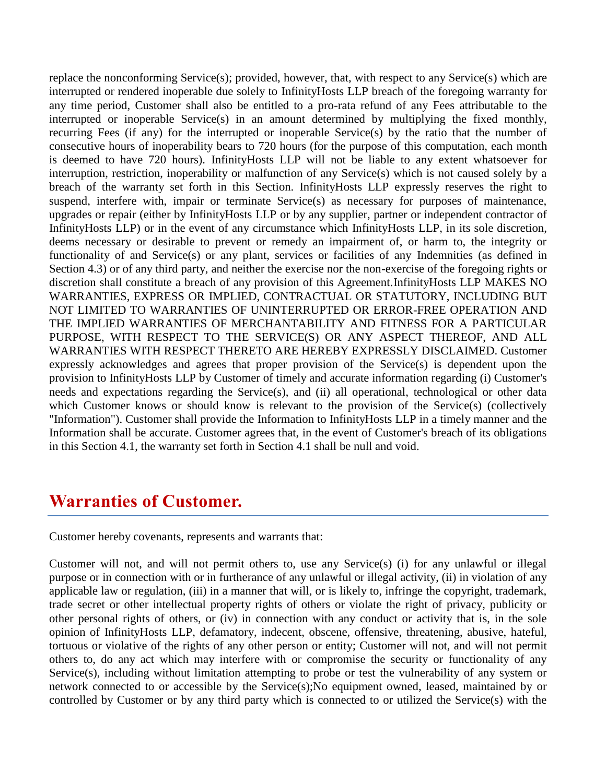replace the nonconforming Service(s); provided, however, that, with respect to any Service(s) which are interrupted or rendered inoperable due solely to InfinityHosts LLP breach of the foregoing warranty for any time period, Customer shall also be entitled to a pro-rata refund of any Fees attributable to the interrupted or inoperable Service(s) in an amount determined by multiplying the fixed monthly, recurring Fees (if any) for the interrupted or inoperable Service(s) by the ratio that the number of consecutive hours of inoperability bears to 720 hours (for the purpose of this computation, each month is deemed to have 720 hours). InfinityHosts LLP will not be liable to any extent whatsoever for interruption, restriction, inoperability or malfunction of any Service(s) which is not caused solely by a breach of the warranty set forth in this Section. InfinityHosts LLP expressly reserves the right to suspend, interfere with, impair or terminate Service(s) as necessary for purposes of maintenance, upgrades or repair (either by InfinityHosts LLP or by any supplier, partner or independent contractor of InfinityHosts LLP) or in the event of any circumstance which InfinityHosts LLP, in its sole discretion, deems necessary or desirable to prevent or remedy an impairment of, or harm to, the integrity or functionality of and Service(s) or any plant, services or facilities of any Indemnities (as defined in Section 4.3) or of any third party, and neither the exercise nor the non-exercise of the foregoing rights or discretion shall constitute a breach of any provision of this Agreement.InfinityHosts LLP MAKES NO WARRANTIES, EXPRESS OR IMPLIED, CONTRACTUAL OR STATUTORY, INCLUDING BUT NOT LIMITED TO WARRANTIES OF UNINTERRUPTED OR ERROR-FREE OPERATION AND THE IMPLIED WARRANTIES OF MERCHANTABILITY AND FITNESS FOR A PARTICULAR PURPOSE, WITH RESPECT TO THE SERVICE(S) OR ANY ASPECT THEREOF, AND ALL WARRANTIES WITH RESPECT THERETO ARE HEREBY EXPRESSLY DISCLAIMED. Customer expressly acknowledges and agrees that proper provision of the Service(s) is dependent upon the provision to InfinityHosts LLP by Customer of timely and accurate information regarding (i) Customer's needs and expectations regarding the Service(s), and (ii) all operational, technological or other data which Customer knows or should know is relevant to the provision of the Service(s) (collectively "Information"). Customer shall provide the Information to InfinityHosts LLP in a timely manner and the Information shall be accurate. Customer agrees that, in the event of Customer's breach of its obligations in this Section 4.1, the warranty set forth in Section 4.1 shall be null and void.

#### **Warranties of Customer.**

Customer hereby covenants, represents and warrants that:

Customer will not, and will not permit others to, use any Service(s) (i) for any unlawful or illegal purpose or in connection with or in furtherance of any unlawful or illegal activity, (ii) in violation of any applicable law or regulation, (iii) in a manner that will, or is likely to, infringe the copyright, trademark, trade secret or other intellectual property rights of others or violate the right of privacy, publicity or other personal rights of others, or (iv) in connection with any conduct or activity that is, in the sole opinion of InfinityHosts LLP, defamatory, indecent, obscene, offensive, threatening, abusive, hateful, tortuous or violative of the rights of any other person or entity; Customer will not, and will not permit others to, do any act which may interfere with or compromise the security or functionality of any Service(s), including without limitation attempting to probe or test the vulnerability of any system or network connected to or accessible by the Service(s);No equipment owned, leased, maintained by or controlled by Customer or by any third party which is connected to or utilized the Service(s) with the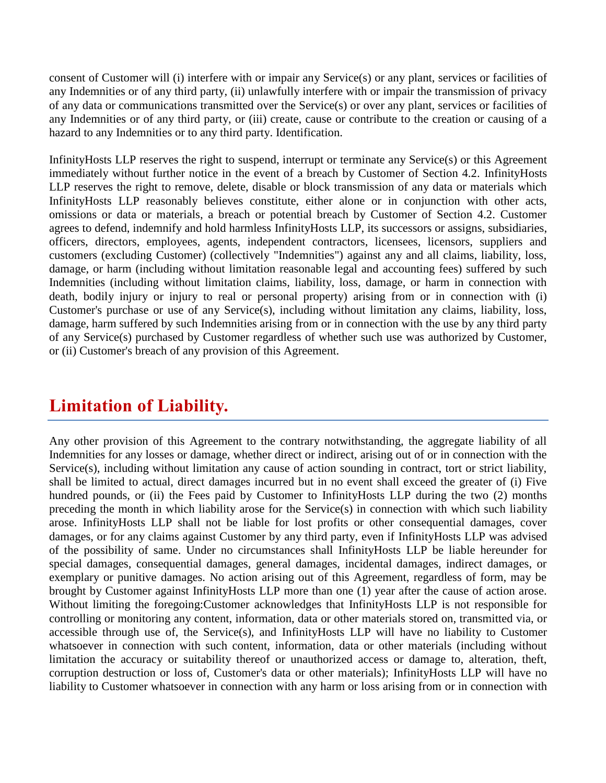consent of Customer will (i) interfere with or impair any Service(s) or any plant, services or facilities of any Indemnities or of any third party, (ii) unlawfully interfere with or impair the transmission of privacy of any data or communications transmitted over the Service(s) or over any plant, services or facilities of any Indemnities or of any third party, or (iii) create, cause or contribute to the creation or causing of a hazard to any Indemnities or to any third party. Identification.

InfinityHosts LLP reserves the right to suspend, interrupt or terminate any Service(s) or this Agreement immediately without further notice in the event of a breach by Customer of Section 4.2. InfinityHosts LLP reserves the right to remove, delete, disable or block transmission of any data or materials which InfinityHosts LLP reasonably believes constitute, either alone or in conjunction with other acts, omissions or data or materials, a breach or potential breach by Customer of Section 4.2. Customer agrees to defend, indemnify and hold harmless InfinityHosts LLP, its successors or assigns, subsidiaries, officers, directors, employees, agents, independent contractors, licensees, licensors, suppliers and customers (excluding Customer) (collectively "Indemnities") against any and all claims, liability, loss, damage, or harm (including without limitation reasonable legal and accounting fees) suffered by such Indemnities (including without limitation claims, liability, loss, damage, or harm in connection with death, bodily injury or injury to real or personal property) arising from or in connection with (i) Customer's purchase or use of any Service(s), including without limitation any claims, liability, loss, damage, harm suffered by such Indemnities arising from or in connection with the use by any third party of any Service(s) purchased by Customer regardless of whether such use was authorized by Customer, or (ii) Customer's breach of any provision of this Agreement.

#### **Limitation of Liability.**

Any other provision of this Agreement to the contrary notwithstanding, the aggregate liability of all Indemnities for any losses or damage, whether direct or indirect, arising out of or in connection with the Service(s), including without limitation any cause of action sounding in contract, tort or strict liability, shall be limited to actual, direct damages incurred but in no event shall exceed the greater of (i) Five hundred pounds, or (ii) the Fees paid by Customer to InfinityHosts LLP during the two (2) months preceding the month in which liability arose for the Service(s) in connection with which such liability arose. InfinityHosts LLP shall not be liable for lost profits or other consequential damages, cover damages, or for any claims against Customer by any third party, even if InfinityHosts LLP was advised of the possibility of same. Under no circumstances shall InfinityHosts LLP be liable hereunder for special damages, consequential damages, general damages, incidental damages, indirect damages, or exemplary or punitive damages. No action arising out of this Agreement, regardless of form, may be brought by Customer against InfinityHosts LLP more than one (1) year after the cause of action arose. Without limiting the foregoing:Customer acknowledges that InfinityHosts LLP is not responsible for controlling or monitoring any content, information, data or other materials stored on, transmitted via, or accessible through use of, the Service(s), and InfinityHosts LLP will have no liability to Customer whatsoever in connection with such content, information, data or other materials (including without limitation the accuracy or suitability thereof or unauthorized access or damage to, alteration, theft, corruption destruction or loss of, Customer's data or other materials); InfinityHosts LLP will have no liability to Customer whatsoever in connection with any harm or loss arising from or in connection with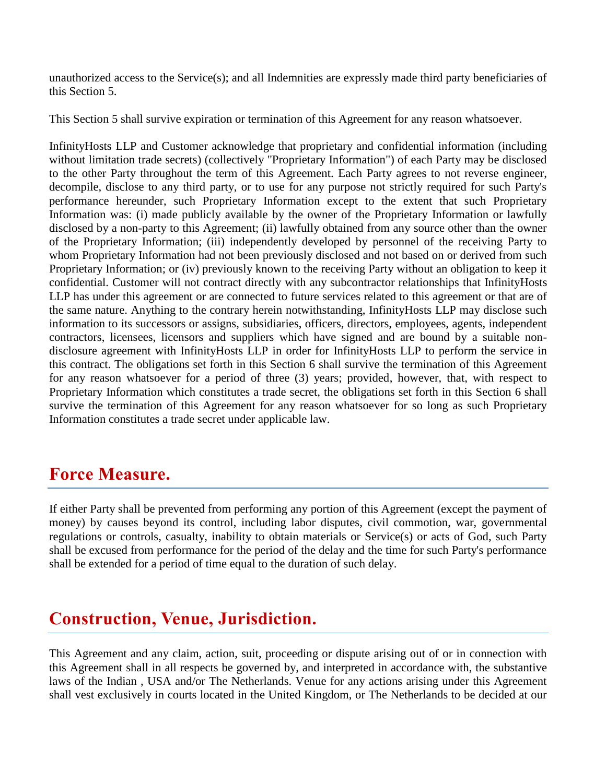unauthorized access to the Service(s); and all Indemnities are expressly made third party beneficiaries of this Section 5.

This Section 5 shall survive expiration or termination of this Agreement for any reason whatsoever.

InfinityHosts LLP and Customer acknowledge that proprietary and confidential information (including without limitation trade secrets) (collectively "Proprietary Information") of each Party may be disclosed to the other Party throughout the term of this Agreement. Each Party agrees to not reverse engineer, decompile, disclose to any third party, or to use for any purpose not strictly required for such Party's performance hereunder, such Proprietary Information except to the extent that such Proprietary Information was: (i) made publicly available by the owner of the Proprietary Information or lawfully disclosed by a non-party to this Agreement; (ii) lawfully obtained from any source other than the owner of the Proprietary Information; (iii) independently developed by personnel of the receiving Party to whom Proprietary Information had not been previously disclosed and not based on or derived from such Proprietary Information; or (iv) previously known to the receiving Party without an obligation to keep it confidential. Customer will not contract directly with any subcontractor relationships that InfinityHosts LLP has under this agreement or are connected to future services related to this agreement or that are of the same nature. Anything to the contrary herein notwithstanding, InfinityHosts LLP may disclose such information to its successors or assigns, subsidiaries, officers, directors, employees, agents, independent contractors, licensees, licensors and suppliers which have signed and are bound by a suitable nondisclosure agreement with InfinityHosts LLP in order for InfinityHosts LLP to perform the service in this contract. The obligations set forth in this Section 6 shall survive the termination of this Agreement for any reason whatsoever for a period of three (3) years; provided, however, that, with respect to Proprietary Information which constitutes a trade secret, the obligations set forth in this Section 6 shall survive the termination of this Agreement for any reason whatsoever for so long as such Proprietary Information constitutes a trade secret under applicable law.

#### **Force Measure.**

If either Party shall be prevented from performing any portion of this Agreement (except the payment of money) by causes beyond its control, including labor disputes, civil commotion, war, governmental regulations or controls, casualty, inability to obtain materials or Service(s) or acts of God, such Party shall be excused from performance for the period of the delay and the time for such Party's performance shall be extended for a period of time equal to the duration of such delay.

# **Construction, Venue, Jurisdiction.**

This Agreement and any claim, action, suit, proceeding or dispute arising out of or in connection with this Agreement shall in all respects be governed by, and interpreted in accordance with, the substantive laws of the Indian , USA and/or The Netherlands. Venue for any actions arising under this Agreement shall vest exclusively in courts located in the United Kingdom, or The Netherlands to be decided at our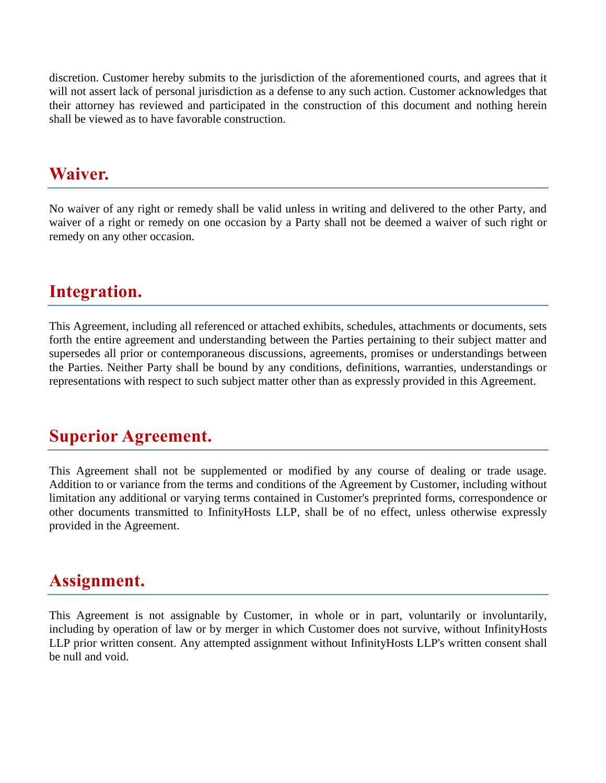discretion. Customer hereby submits to the jurisdiction of the aforementioned courts, and agrees that it will not assert lack of personal jurisdiction as a defense to any such action. Customer acknowledges that their attorney has reviewed and participated in the construction of this document and nothing herein shall be viewed as to have favorable construction.

#### **Waiver.**

No waiver of any right or remedy shall be valid unless in writing and delivered to the other Party, and waiver of a right or remedy on one occasion by a Party shall not be deemed a waiver of such right or remedy on any other occasion.

# **Integration.**

This Agreement, including all referenced or attached exhibits, schedules, attachments or documents, sets forth the entire agreement and understanding between the Parties pertaining to their subject matter and supersedes all prior or contemporaneous discussions, agreements, promises or understandings between the Parties. Neither Party shall be bound by any conditions, definitions, warranties, understandings or representations with respect to such subject matter other than as expressly provided in this Agreement.

# **Superior Agreement.**

This Agreement shall not be supplemented or modified by any course of dealing or trade usage. Addition to or variance from the terms and conditions of the Agreement by Customer, including without limitation any additional or varying terms contained in Customer's preprinted forms, correspondence or other documents transmitted to InfinityHosts LLP, shall be of no effect, unless otherwise expressly provided in the Agreement.

#### **Assignment.**

This Agreement is not assignable by Customer, in whole or in part, voluntarily or involuntarily, including by operation of law or by merger in which Customer does not survive, without InfinityHosts LLP prior written consent. Any attempted assignment without InfinityHosts LLP's written consent shall be null and void.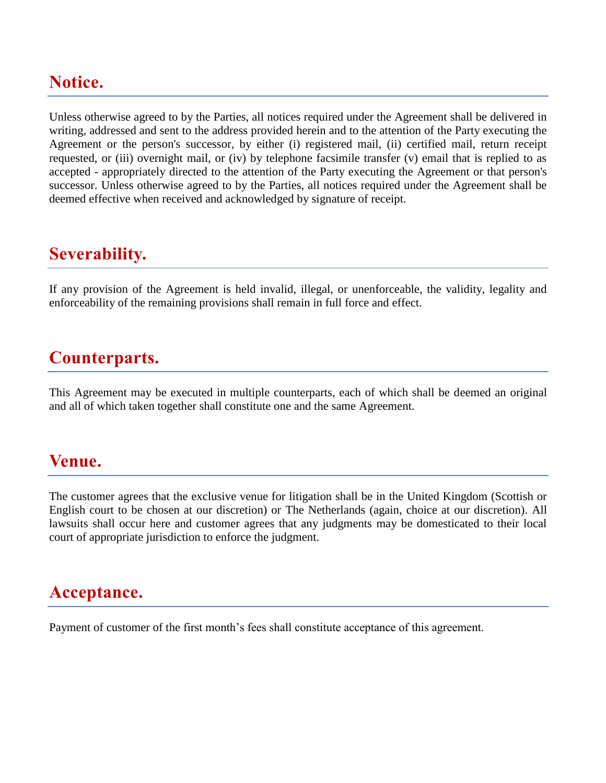# **Notice.**

Unless otherwise agreed to by the Parties, all notices required under the Agreement shall be delivered in writing, addressed and sent to the address provided herein and to the attention of the Party executing the Agreement or the person's successor, by either (i) registered mail, (ii) certified mail, return receipt requested, or (iii) overnight mail, or (iv) by telephone facsimile transfer (v) email that is replied to as accepted - appropriately directed to the attention of the Party executing the Agreement or that person's successor. Unless otherwise agreed to by the Parties, all notices required under the Agreement shall be deemed effective when received and acknowledged by signature of receipt.

#### **Severability.**

If any provision of the Agreement is held invalid, illegal, or unenforceable, the validity, legality and enforceability of the remaining provisions shall remain in full force and effect.

# **Counterparts.**

This Agreement may be executed in multiple counterparts, each of which shall be deemed an original and all of which taken together shall constitute one and the same Agreement.

#### **Venue.**

The customer agrees that the exclusive venue for litigation shall be in the United Kingdom (Scottish or English court to be chosen at our discretion) or The Netherlands (again, choice at our discretion). All lawsuits shall occur here and customer agrees that any judgments may be domesticated to their local court of appropriate jurisdiction to enforce the judgment.

#### **Acceptance.**

Payment of customer of the first month's fees shall constitute acceptance of this agreement.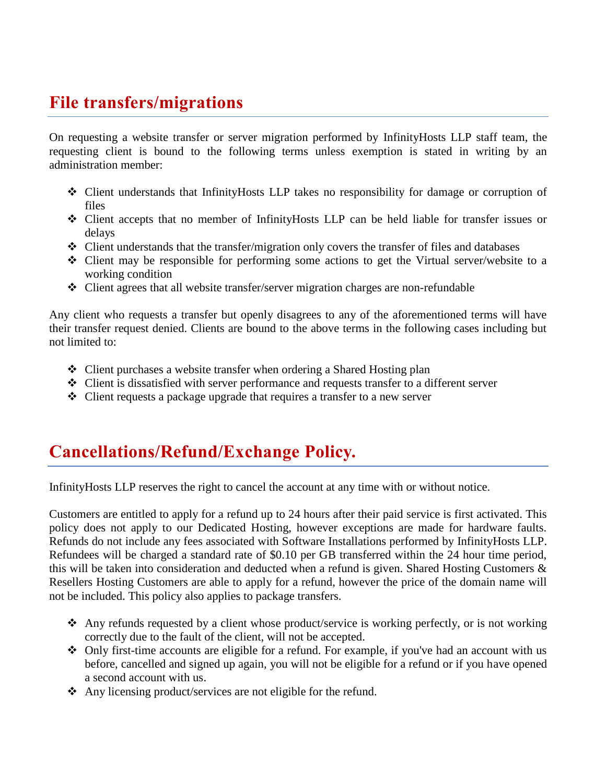# **File transfers/migrations**

On requesting a website transfer or server migration performed by InfinityHosts LLP staff team, the requesting client is bound to the following terms unless exemption is stated in writing by an administration member:

- Client understands that InfinityHosts LLP takes no responsibility for damage or corruption of files
- Client accepts that no member of InfinityHosts LLP can be held liable for transfer issues or delays
- Client understands that the transfer/migration only covers the transfer of files and databases
- Client may be responsible for performing some actions to get the Virtual server/website to a working condition
- Client agrees that all website transfer/server migration charges are non-refundable

Any client who requests a transfer but openly disagrees to any of the aforementioned terms will have their transfer request denied. Clients are bound to the above terms in the following cases including but not limited to:

- Client purchases a website transfer when ordering a Shared Hosting plan
- Client is dissatisfied with server performance and requests transfer to a different server
- Client requests a package upgrade that requires a transfer to a new server

# **Cancellations/Refund/Exchange Policy.**

InfinityHosts LLP reserves the right to cancel the account at any time with or without notice.

Customers are entitled to apply for a refund up to 24 hours after their paid service is first activated. This policy does not apply to our Dedicated Hosting, however exceptions are made for hardware faults. Refunds do not include any fees associated with Software Installations performed by InfinityHosts LLP. Refundees will be charged a standard rate of \$0.10 per GB transferred within the 24 hour time period, this will be taken into consideration and deducted when a refund is given. Shared Hosting Customers & Resellers Hosting Customers are able to apply for a refund, however the price of the domain name will not be included. This policy also applies to package transfers.

- Any refunds requested by a client whose product/service is working perfectly, or is not working correctly due to the fault of the client, will not be accepted.
- $\triangle$  Only first-time accounts are eligible for a refund. For example, if you've had an account with us before, cancelled and signed up again, you will not be eligible for a refund or if you have opened a second account with us.
- Any licensing product/services are not eligible for the refund.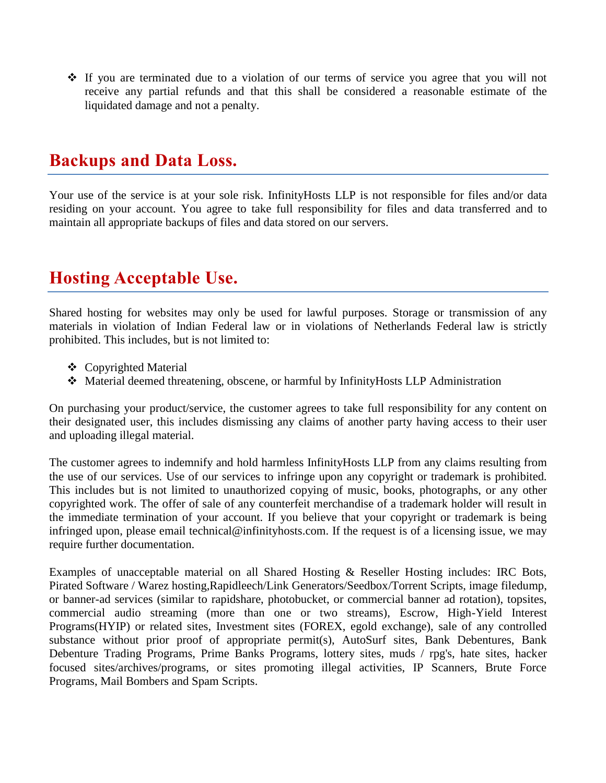$\div$  If you are terminated due to a violation of our terms of service you agree that you will not receive any partial refunds and that this shall be considered a reasonable estimate of the liquidated damage and not a penalty.

# **Backups and Data Loss.**

Your use of the service is at your sole risk. InfinityHosts LLP is not responsible for files and/or data residing on your account. You agree to take full responsibility for files and data transferred and to maintain all appropriate backups of files and data stored on our servers.

# **Hosting Acceptable Use.**

Shared hosting for websites may only be used for lawful purposes. Storage or transmission of any materials in violation of Indian Federal law or in violations of Netherlands Federal law is strictly prohibited. This includes, but is not limited to:

- Copyrighted Material
- Material deemed threatening, obscene, or harmful by InfinityHosts LLP Administration

On purchasing your product/service, the customer agrees to take full responsibility for any content on their designated user, this includes dismissing any claims of another party having access to their user and uploading illegal material.

The customer agrees to indemnify and hold harmless InfinityHosts LLP from any claims resulting from the use of our services. Use of our services to infringe upon any copyright or trademark is prohibited. This includes but is not limited to unauthorized copying of music, books, photographs, or any other copyrighted work. The offer of sale of any counterfeit merchandise of a trademark holder will result in the immediate termination of your account. If you believe that your copyright or trademark is being infringed upon, please email technical@infinityhosts.com. If the request is of a licensing issue, we may require further documentation.

Examples of unacceptable material on all Shared Hosting & Reseller Hosting includes: IRC Bots, Pirated Software / Warez hosting,Rapidleech/Link Generators/Seedbox/Torrent Scripts, image filedump, or banner-ad services (similar to rapidshare, photobucket, or commercial banner ad rotation), topsites, commercial audio streaming (more than one or two streams), Escrow, High-Yield Interest Programs(HYIP) or related sites, Investment sites (FOREX, egold exchange), sale of any controlled substance without prior proof of appropriate permit(s), AutoSurf sites, Bank Debentures, Bank Debenture Trading Programs, Prime Banks Programs, lottery sites, muds / rpg's, hate sites, hacker focused sites/archives/programs, or sites promoting illegal activities, IP Scanners, Brute Force Programs, Mail Bombers and Spam Scripts.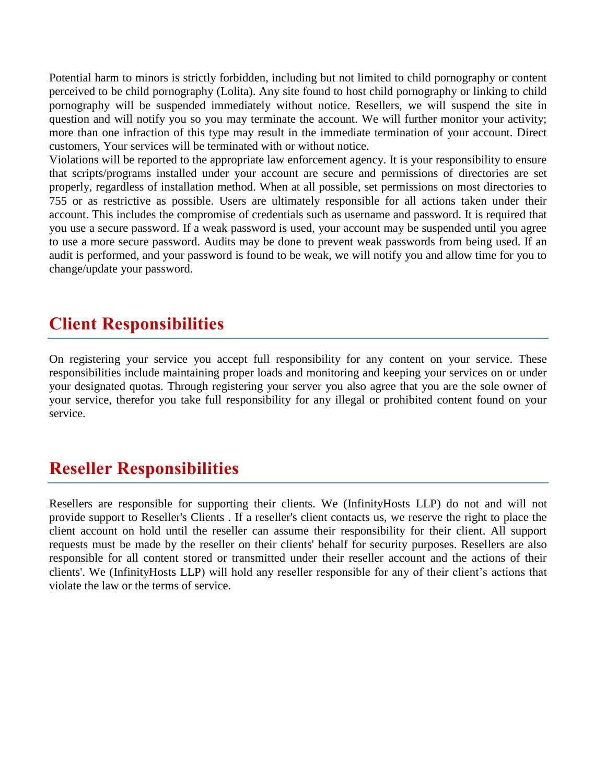Potential harm to minors is strictly forbidden, including but not limited to child pornography or content perceived to be child pornography (Lolita). Any site found to host child pornography or linking to child pornography will be suspended immediately without notice. Resellers, we will suspend the site in question and will notify you so you may terminate the account. We will further monitor your activity; more than one infraction of this type may result in the immediate termination of your account. Direct customers, Your services will be terminated with or without notice.

Violations will be reported to the appropriate law enforcement agency. It is your responsibility to ensure that scripts/programs installed under your account are secure and permissions of directories are set properly, regardless of installation method. When at all possible, set permissions on most directories to 755 or as restrictive as possible. Users are ultimately responsible for all actions taken under their account. This includes the compromise of credentials such as username and password. It is required that you use a secure password. If a weak password is used, your account may be suspended until you agree to use a more secure password. Audits may be done to prevent weak passwords from being used. If an audit is performed, and your password is found to be weak, we will notify you and allow time for you to change/update your password.

# **Client Responsibilities**

On registering your service you accept full responsibility for any content on your service. These responsibilities include maintaining proper loads and monitoring and keeping your services on or under your designated quotas. Through registering your server you also agree that you are the sole owner of your service, therefor you take full responsibility for any illegal or prohibited content found on your service.

#### **Reseller Responsibilities**

Resellers are responsible for supporting their clients. We (InfinityHosts LLP) do not and will not provide support to Reseller's Clients . If a reseller's client contacts us, we reserve the right to place the client account on hold until the reseller can assume their responsibility for their client. All support requests must be made by the reseller on their clients' behalf for security purposes. Resellers are also responsible for all content stored or transmitted under their reseller account and the actions of their clients'. We (InfinityHosts LLP) will hold any reseller responsible for any of their client's actions that violate the law or the terms of service.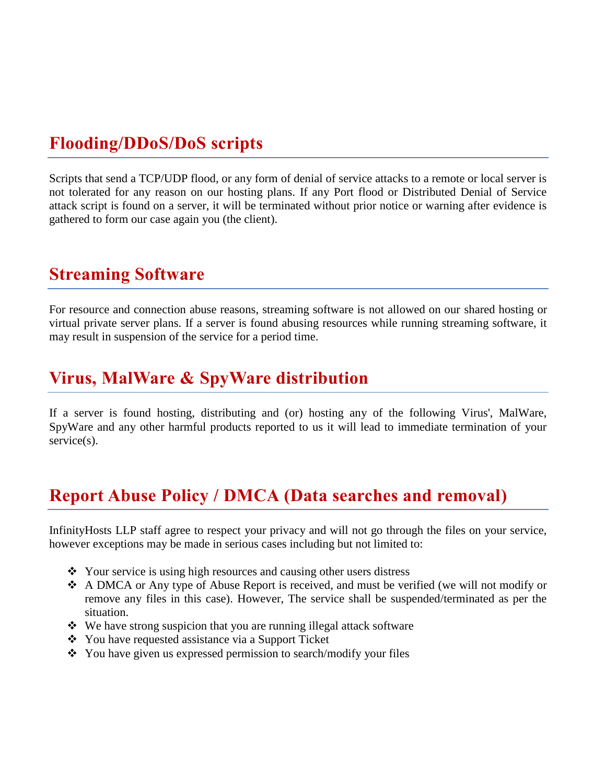# **Flooding/DDoS/DoS scripts**

Scripts that send a TCP/UDP flood, or any form of denial of service attacks to a remote or local server is not tolerated for any reason on our hosting plans. If any Port flood or Distributed Denial of Service attack script is found on a server, it will be terminated without prior notice or warning after evidence is gathered to form our case again you (the client).

#### **Streaming Software**

For resource and connection abuse reasons, streaming software is not allowed on our shared hosting or virtual private server plans. If a server is found abusing resources while running streaming software, it may result in suspension of the service for a period time.

#### **Virus, MalWare & SpyWare distribution**

If a server is found hosting, distributing and (or) hosting any of the following Virus', MalWare, SpyWare and any other harmful products reported to us it will lead to immediate termination of your service(s).

# **Report Abuse Policy / DMCA (Data searches and removal)**

InfinityHosts LLP staff agree to respect your privacy and will not go through the files on your service, however exceptions may be made in serious cases including but not limited to:

- Your service is using high resources and causing other users distress
- A DMCA or Any type of Abuse Report is received, and must be verified (we will not modify or remove any files in this case). However, The service shall be suspended/terminated as per the situation.
- We have strong suspicion that you are running illegal attack software
- You have requested assistance via a Support Ticket
- $\triangle$  You have given us expressed permission to search/modify your files